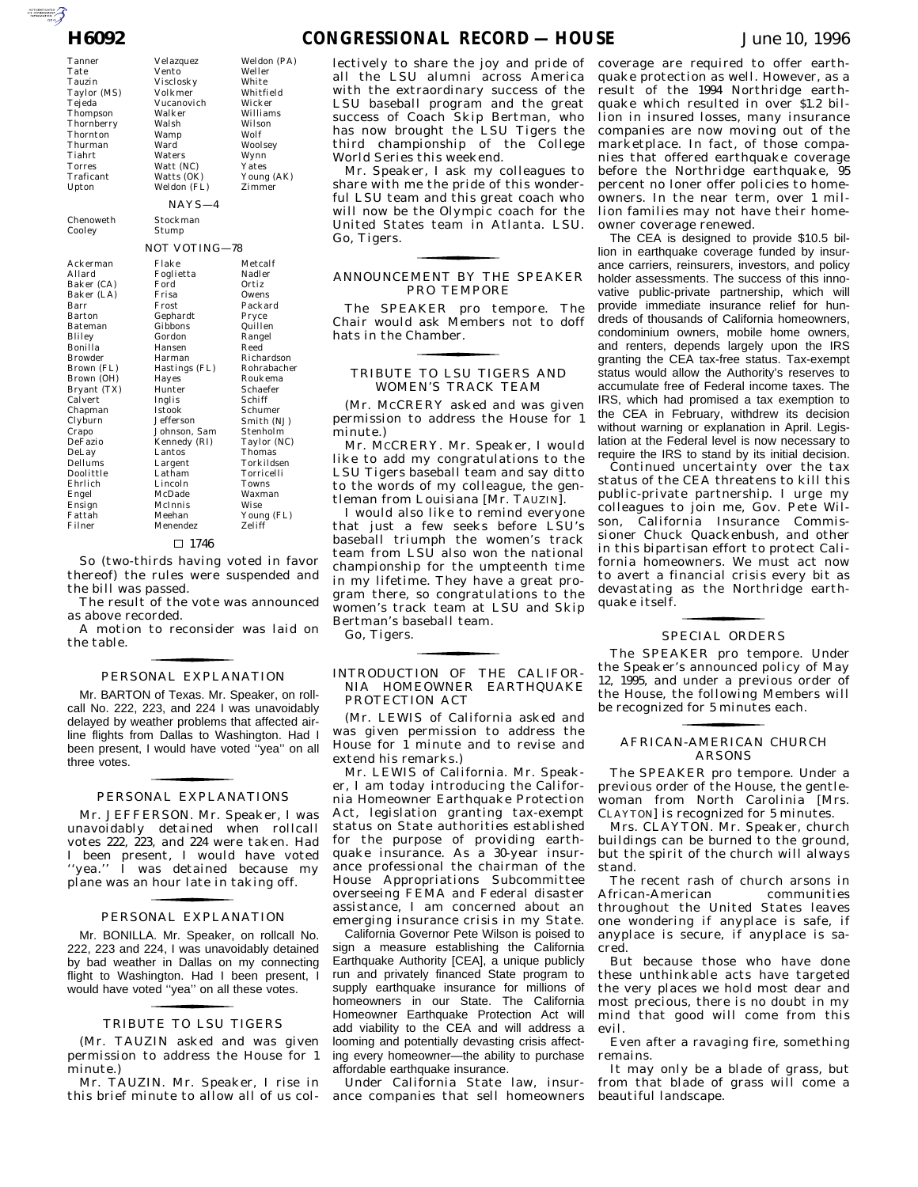Tanner Tate Tauzin Taylor (MS) Tejeda Thompson **Thornberry** Thornton Thurman Tiahrt Torres Traficant Upton

Cooley

 $Ac<sub>i</sub>$ 

Ba Ba<sup>1</sup> Ba Ba Ba

 $Br<sub>0</sub>$ Bry Ca  $Ch$  $\overline{\text{Cl}}_b$ 

En En Fat Fil

Chenoweth

Velazquez

Vento Visclosky Volkmer Vucanovich Walker Walsh Wamp Ward Waters Watt (NC) Watts (OK) Weldon (FL) NAYS—4 Stockman NOT VOTING—78

Williams Wilson Wolf Woolsey Wynn Yates Young (AK) Zimmer

Weldon (PA) Weller White Whitfield Wicker

Stump

| Ackerman    | Flake         | Metcalf     |
|-------------|---------------|-------------|
| Allard      | Foglietta     | Nadler      |
| Baker (CA)  | Ford          | Ortiz       |
| Baker (LA)  | Frisa         | Owens       |
| Barr        | Frost         | Packard     |
| Barton      | Gephardt      | Pryce       |
| Bateman     | Gibbons       | Quillen     |
| Bliley      | Gordon        | Rangel      |
| Bonilla     | Hansen        | Reed        |
| Browder     | Harman        | Richardson  |
| Brown (FL)  | Hastings (FL) | Rohrabacher |
| Brown (OH)  | Hayes         | Roukema     |
| Bryant (TX) | Hunter        | Schaefer    |
| Calvert     | Inglis        | Schiff      |
| Chapman     | Istook        | Schumer     |
| Clyburn     | Jefferson     | Smith (NJ)  |
| Crapo       | Johnson, Sam  | Stenholm    |
| DeFazio     | Kennedy (RI)  | Taylor (NC) |
| DeLay       | Lantos        | Thomas      |
| Dellums     | Largent       | Torkildsen  |
| Doolittle   | Latham        | Torricelli  |
| Ehrlich     | Lincoln       | Towns       |
| Engel       | McDade        | Waxman      |
| Ensign      | McInnis       | Wise        |
| Fattah      | Meehan        | Young (FL)  |
| Filner      | Menendez      | Zeliff      |
|             |               |             |

#### $\Box$  1746

So (two-thirds having voted in favor thereof) the rules were suspended and the bill was passed.

The result of the vote was announced as above recorded.

A motion to reconsider was laid on the table.

## PERSONAL EXPLANATION for the control of the control of

Mr. BARTON of Texas. Mr. Speaker, on rollcall No. 222, 223, and 224 I was unavoidably delayed by weather problems that affected airline flights from Dallas to Washington. Had I been present, I would have voted "yea" on all three votes.

# PERSONAL EXPLANATIONS for the state of the state of

Mr. JEFFERSON. Mr. Speaker, I was unavoidably detained when rollcall votes 222, 223, and 224 were taken. Had I been present, I would have voted ''yea.'' I was detained because my plane was an hour late in taking off.

#### PERSONAL EXPLANATION for the control of the control of

Mr. BONILLA. Mr. Speaker, on rollcall No. 222, 223 and 224, I was unavoidably detained by bad weather in Dallas on my connecting flight to Washington. Had I been present, I would have voted ''yea'' on all these votes.

# TRIBUTE TO LSU TIGERS for the control of the control of

(Mr. TAUZIN asked and was given permission to address the House for 1 minute.)

Mr. TAUZIN. Mr. Speaker, I rise in this brief minute to allow all of us col-

lectively to share the joy and pride of all the LSU alumni across America with the extraordinary success of the LSU baseball program and the great success of Coach Skip Bertman, who has now brought the LSU Tigers the third championship of the College World Series this weekend.

Mr. Speaker, I ask my colleagues to share with me the pride of this wonderful LSU team and this great coach who will now be the Olympic coach for the United States team in Atlanta. LSU. Go, Tigers.

## ANNOUNCEMENT BY THE SPEAKER PRO TEMPORE for the control of the control of

The SPEAKER pro tempore. The Chair would ask Members not to doff hats in the Chamber.

## TRIBUTE TO LSU TIGERS AND WOMEN'S TRACK TEAM for the control of the control of

(Mr. MCCRERY asked and was given permission to address the House for 1 minute.)

Mr. MCCRERY. Mr. Speaker, I would like to add my congratulations to the LSU Tigers baseball team and say ditto to the words of my colleague, the gentleman from Louisiana [Mr. TAUZIN].

I would also like to remind everyone that just a few seeks before LSU's baseball triumph the women's track team from LSU also won the national championship for the umpteenth time in my lifetime. They have a great program there, so congratulations to the women's track team at LSU and Skip Bertman's baseball team.

Go, Tigers.

#### INTRODUCTION OF THE CALIFOR-NIA HOMEOWNER EARTHQUAKE PROTECTION ACT

for the control of the control of

(Mr. LEWIS of California asked and was given permission to address the House for 1 minute and to revise and extend his remarks.)

Mr. LEWIS of California. Mr. Speaker, I am today introducing the California Homeowner Earthquake Protection Act, legislation granting tax-exempt status on State authorities established for the purpose of providing earthquake insurance. As a 30-year insurance professional the chairman of the House Appropriations Subcommittee overseeing FEMA and Federal disaster assistance, I am concerned about an emerging insurance crisis in my State.

California Governor Pete Wilson is poised to sign a measure establishing the California Earthquake Authority [CEA], a unique publicly run and privately financed State program to supply earthquake insurance for millions of homeowners in our State. The California Homeowner Earthquake Protection Act will add viability to the CEA and will address a looming and potentially devasting crisis affecting every homeowner—the ability to purchase affordable earthquake insurance.

Under California State law, insurance companies that sell homeowners coverage are required to offer earthquake protection as well. However, as a result of the 1994 Northridge earthquake which resulted in over \$1.2 billion in insured losses, many insurance companies are now moving out of the marketplace. In fact, of those companies that offered earthquake coverage before the Northridge earthquake,  $95$ percent no loner offer policies to homeowners. In the near term, over 1 million families may not have their homeowner coverage renewed.

The CEA is designed to provide \$10.5 billion in earthquake coverage funded by insurance carriers, reinsurers, investors, and policy holder assessments. The success of this innovative public-private partnership, which will provide immediate insurance relief for hundreds of thousands of California homeowners, condominium owners, mobile home owners, and renters, depends largely upon the IRS granting the CEA tax-free status. Tax-exempt status would allow the Authority's reserves to accumulate free of Federal income taxes. The IRS, which had promised a tax exemption to the CEA in February, withdrew its decision without warning or explanation in April. Legislation at the Federal level is now necessary to require the IRS to stand by its initial decision.

Continued uncertainty over the tax status of the CEA threatens to kill this public-private partnership. I urge my colleagues to join me, Gov. Pete Wilson, California Insurance Commissioner Chuck Quackenbush, and other in this bipartisan effort to protect California homeowners. We must act now to avert a financial crisis every bit as devastating as the Northridge earthquake itself.

## SPECIAL ORDERS for the control of the control of

The SPEAKER pro tempore. Under the Speaker's announced policy of May 12, 1995, and under a previous order of the House, the following Members will be recognized for 5 minutes each.

#### AFRICAN-AMERICAN CHURCH for the control of the control of ARSONS

The SPEAKER pro tempore. Under a previous order of the House, the gentlewoman from North Carolinia [Mrs. CLAYTON] is recognized for 5 minutes.

Mrs. CLAYTON. Mr. Speaker, church buildings can be burned to the ground, but the spirit of the church will always stand.

The recent rash of church arsons in African-American communities throughout the United States leaves one wondering if anyplace is safe, if anyplace is secure, if anyplace is sacred.

But because those who have done these unthinkable acts have targeted the very places we hold most dear and most precious, there is no doubt in my mind that good will come from this evil.

Even after a ravaging fire, something remains.

It may only be a blade of grass, but from that blade of grass will come a beautiful landscape.